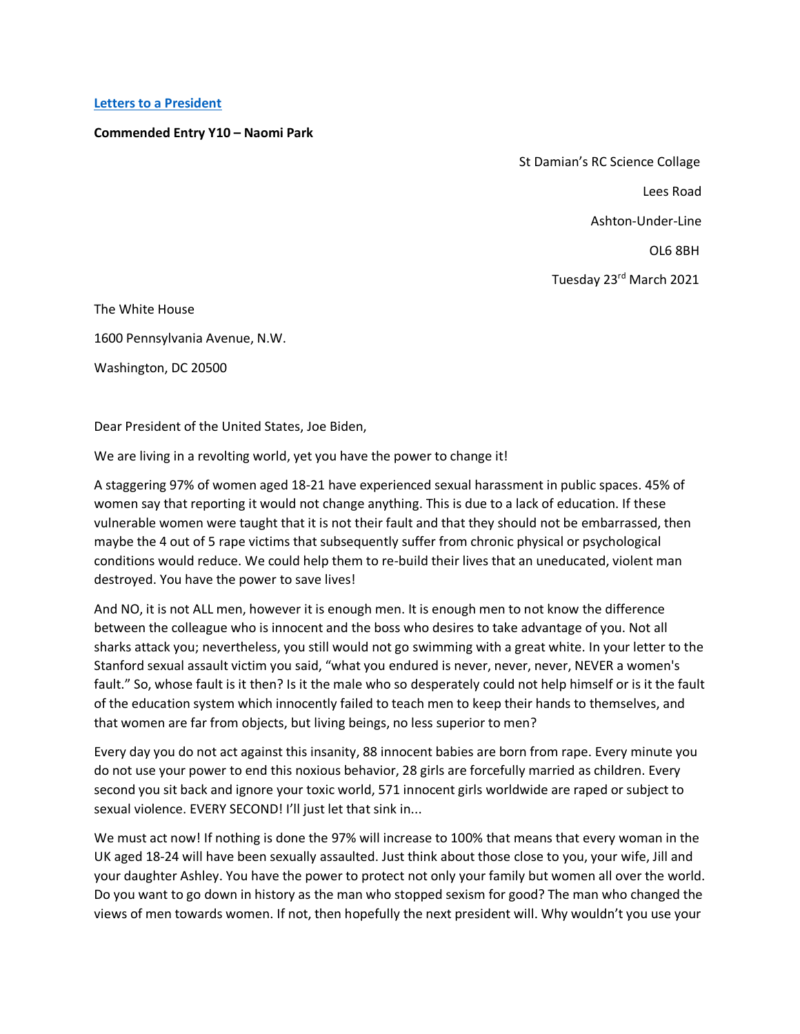## **Letters to [a President](https://www.alc.manchester.ac.uk/connect/schools/outreach/as-competition/)**

## **Commended Entry Y10 – Naomi Park**

 St Damian's RC Science Collage Lees Road Ashton-Under-Line OL6 8BH

Tuesday 23rd March 2021

The White House

1600 Pennsylvania Avenue, N.W.

Washington, DC 20500

Dear President of the United States, Joe Biden,

We are living in a revolting world, yet you have the power to change it!

A staggering 97% of women aged 18-21 have experienced sexual harassment in public spaces. 45% of women say that reporting it would not change anything. This is due to a lack of education. If these vulnerable women were taught that it is not their fault and that they should not be embarrassed, then maybe the 4 out of 5 rape victims that subsequently suffer from chronic physical or psychological conditions would reduce. We could help them to re-build their lives that an uneducated, violent man destroyed. You have the power to save lives!

And NO, it is not ALL men, however it is enough men. It is enough men to not know the difference between the colleague who is innocent and the boss who desires to take advantage of you. Not all sharks attack you; nevertheless, you still would not go swimming with a great white. In your letter to the Stanford sexual assault victim you said, "what you endured is never, never, never, NEVER a women's fault." So, whose fault is it then? Is it the male who so desperately could not help himself or is it the fault of the education system which innocently failed to teach men to keep their hands to themselves, and that women are far from objects, but living beings, no less superior to men?

Every day you do not act against this insanity, 88 innocent babies are born from rape. Every minute you do not use your power to end this noxious behavior, 28 girls are forcefully married as children. Every second you sit back and ignore your toxic world, 571 innocent girls worldwide are raped or subject to sexual violence. EVERY SECOND! I'll just let that sink in...

We must act now! If nothing is done the 97% will increase to 100% that means that every woman in the UK aged 18-24 will have been sexually assaulted. Just think about those close to you, your wife, Jill and your daughter Ashley. You have the power to protect not only your family but women all over the world. Do you want to go down in history as the man who stopped sexism for good? The man who changed the views of men towards women. If not, then hopefully the next president will. Why wouldn't you use your